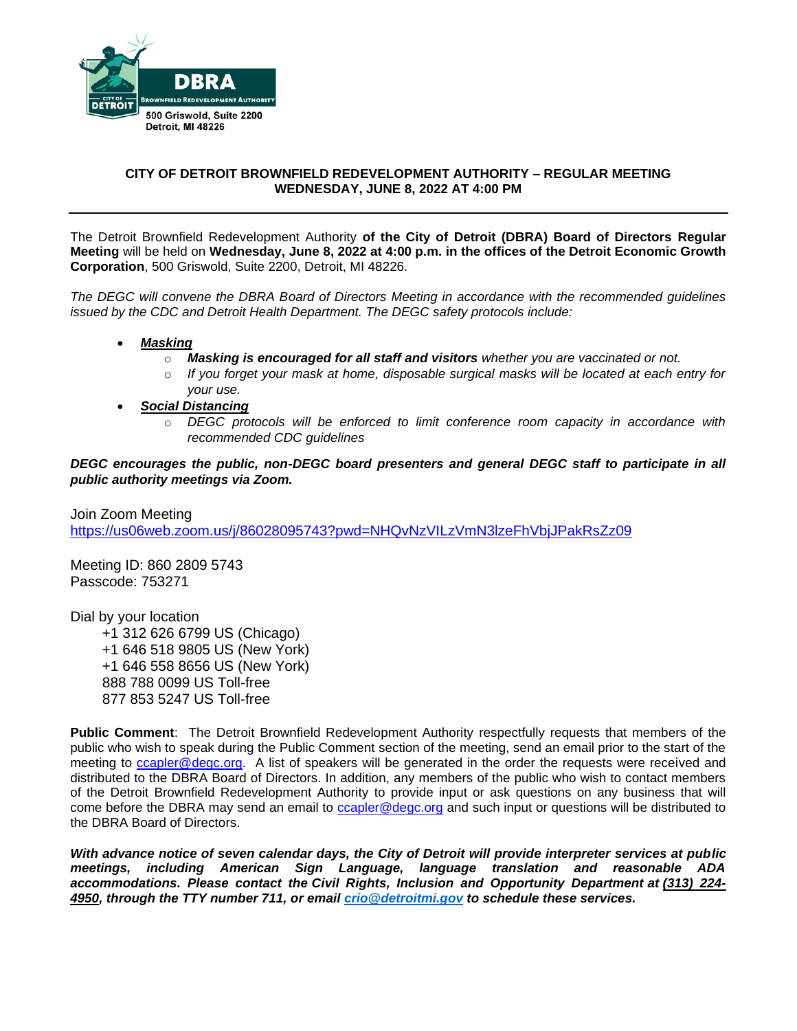

# **CITY OF DETROIT BROWNFIELD REDEVELOPMENT AUTHORITY – REGULAR MEETING WEDNESDAY, JUNE 8, 2022 AT 4:00 PM**

The Detroit Brownfield Redevelopment Authority **of the City of Detroit (DBRA) Board of Directors Regular Meeting** will be held on **Wednesday, June 8, 2022 at 4:00 p.m. in the offices of the Detroit Economic Growth Corporation**, 500 Griswold, Suite 2200, Detroit, MI 48226.

*The DEGC will convene the DBRA Board of Directors Meeting in accordance with the recommended guidelines issued by the CDC and Detroit Health Department. The DEGC safety protocols include:*

- *Masking*
	- o *Masking is encouraged for all staff and visitors whether you are vaccinated or not.*
	- o *If you forget your mask at home, disposable surgical masks will be located at each entry for your use.*
- *Social Distancing* 
	- o *DEGC protocols will be enforced to limit conference room capacity in accordance with recommended CDC guidelines*

*DEGC encourages the public, non-DEGC board presenters and general DEGC staff to participate in all public authority meetings via Zoom.* 

Join Zoom Meeting <https://us06web.zoom.us/j/86028095743?pwd=NHQvNzVILzVmN3lzeFhVbjJPakRsZz09>

Meeting ID: 860 2809 5743 Passcode: 753271

Dial by your location

 +1 312 626 6799 US (Chicago) +1 646 518 9805 US (New York) +1 646 558 8656 US (New York) 888 788 0099 US Toll-free 877 853 5247 US Toll-free

**Public Comment**: The Detroit Brownfield Redevelopment Authority respectfully requests that members of the public who wish to speak during the Public Comment section of the meeting, send an email prior to the start of the meeting to [ccapler@degc.org.](mailto:ccapler@degc.org) A list of speakers will be generated in the order the requests were received and distributed to the DBRA Board of Directors. In addition, any members of the public who wish to contact members of the Detroit Brownfield Redevelopment Authority to provide input or ask questions on any business that will come before the DBRA may send an email to [ccapler@degc.org](mailto:ccapler@degc.org) and such input or questions will be distributed to the DBRA Board of Directors.

*With advance notice of seven calendar days, the City of Detroit will provide interpreter services at public meetings, including American Sign Language, language translation and reasonable ADA accommodations. Please contact the Civil Rights, Inclusion and Opportunity Department at (313) 224- 4950, through the TTY number 711, or email [crio@detroitmi.gov](mailto:crio@detroitmi.gov) to schedule these services.*